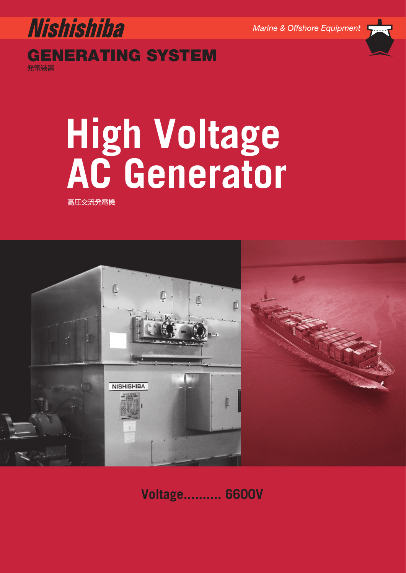Marine & Offshore Equipment



**GENERATING SYSTEM** 発電装置

# **AC** Generator **AC Generator**

高圧交流発電機



**Voltage.......... 6600V**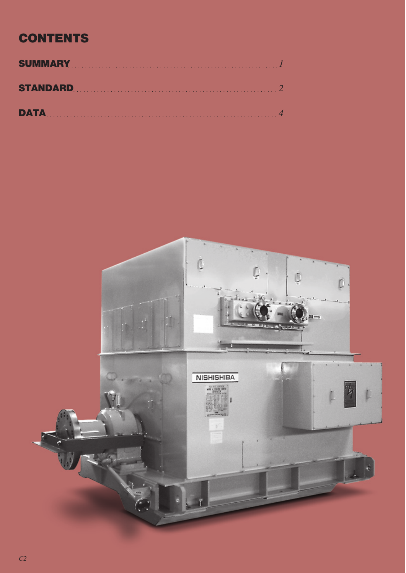# **CONTENTS**

| <b>DATA</b> 4 |  |
|---------------|--|

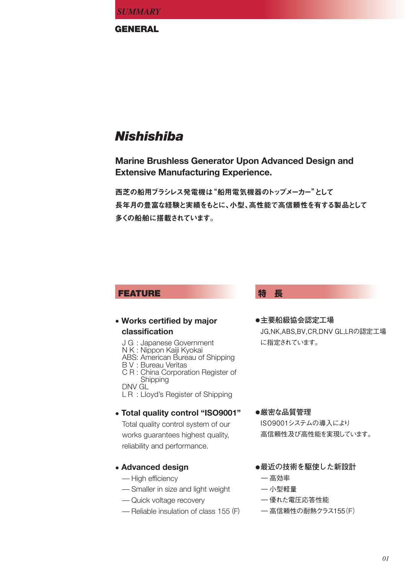**GENERAL**

# *Nishishiba*

**Marine Brushless Generator Upon Advanced Design and Extensive Manufacturing Experience.**

西芝の船用ブラシレス発電機は"船用電気機器のトップメーカー"として 長年月の豊富な経験と実績をもとに、小型、高性能で高信頼性を有する製品として 多くの船舶に搭載されています。

# **FEATURE 特 長**

# **• Works certified by major classification**

J G : Japanese Government N K : Nippon Kaiji Kyokai ABS : American Bureau of Shipping B V : Bureau Veritas C R : China Corporation Register of DNV GL L R : LIoyd's Register of Shipping **Shipping** 

# **• Total quality control "ISO9001"**

Total quality control system of our works guarantees highest quality, reliability and performance.

# **• Advanced design**

- High efficiency
- –Smaller in size and light weight
- Quick voltage recovery
- –Reliable insulation of class 155 (F)

**●主要船級協会認定工場** JG,NK,ABS,BV,CR,DNV GL,LRの認定工場 に指定されています。

## **●厳密な品質管理**

ISO9001システムの導入により 高信頼性及び高性能を実現しています。

# **●最近の技術を駆使した新設計**

ー高効率

## ー小型軽量

- ー優れた電圧応答性能
- ー高信頼性の耐熱クラス155(F)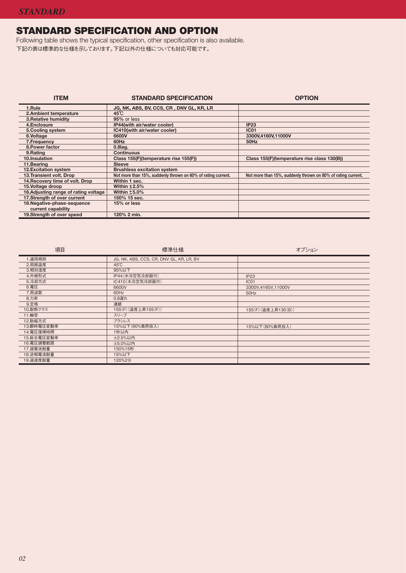# **STANDARD SPECIFICATION AND OPTION**

Following table shows the typical specification, other specification is also available. 下記の表は標準的な仕様を示しております。下記以外の仕様についても対応可能です。

| <b>ITEM</b>                           | <b>STANDARD SPECIFICATION</b>                                | <b>OPTION</b>                                                |
|---------------------------------------|--------------------------------------------------------------|--------------------------------------------------------------|
| 1.Rule                                | JG, NK, ABS, BV, CCS, CR, DNV GL, KR, LR                     |                                                              |
| 2.Ambient temperature                 | $45^{\circ}$ C                                               |                                                              |
| <b>3. Relative humidity</b>           | 95% or less                                                  |                                                              |
| 4.Enclosure                           | IP44(with air/water cooler)                                  | IP23                                                         |
| 5. Cooling system                     | IC410(with air/water cooler)                                 | <b>IC01</b>                                                  |
| 6.Voltage                             | 6600V                                                        | 3300V,4160V,11000V                                           |
| 7. Frequency                          | 60Hz                                                         | 50Hz                                                         |
| 8. Power factor                       | $0.8$ lag.                                                   |                                                              |
| 9.Rating                              | <b>Continuous</b>                                            |                                                              |
| 10.Insulation                         | Class 155(F)(temperature rise 155(F))                        | Class 155(F)(temperature rise class 130(B))                  |
| 11.Bearing                            | <b>Sleeve</b>                                                |                                                              |
| <b>12.Excitation system</b>           | <b>Brushless excitation system</b>                           |                                                              |
| 13. Transient volt. Drop              | Not more than 15%, suddenly thrown on 60% of rating current. | Not more than 15%, suddenly thrown on 80% of rating current. |
| 14. Recovery time of volt. Drop       | Within 1 sec.                                                |                                                              |
| 15. Voltage droop                     | Within $±2.5%$                                               |                                                              |
| 16. Adjusting range of rating voltage | Within $±5.0\%$                                              |                                                              |
| 17. Strength of over current          | 150% 15 sec.                                                 |                                                              |
| 18. Negative-phase-sequence           | 15% or less                                                  |                                                              |
| current capability                    |                                                              |                                                              |
| 19. Strength of over speed            | 120% 2 min.                                                  |                                                              |

| 項目         | 標準仕様                                     | オプション               |  |  |  |
|------------|------------------------------------------|---------------------|--|--|--|
| 1.適用規則     | JG, NK, ABS, CCS, CR, DNV GL, KR, LR, BV |                     |  |  |  |
| 2.周囲温度     | $45^{\circ}$ C                           |                     |  |  |  |
| 3.相対湿度     | 95%以下                                    |                     |  |  |  |
| 4.外被形式     | IP44 (水冷空気冷却器付)                          | IP23                |  |  |  |
| 5.冷却方式     | IC410(水冷空気冷却器付)                          | IC <sub>01</sub>    |  |  |  |
| 6.電圧       | 6600V                                    | 3300V,4160V,11000V  |  |  |  |
| 7.周波数      | 60Hz                                     | 50Hz                |  |  |  |
| 8.力率       | 0.8遅れ                                    |                     |  |  |  |
| 9.定格       | 連続                                       |                     |  |  |  |
| 10.耐熱クラス   | 155(F) (温度上昇155(F))                      | 155(F) (温度上昇130(B)) |  |  |  |
| 11.軸受      | スリーブ                                     |                     |  |  |  |
| 12.励磁方式    | ブラシレス                                    |                     |  |  |  |
| 13.瞬時電圧変動率 | 15%以下(60%負荷投入)                           | 15%以下(80%負荷投入)      |  |  |  |
| 14. 雷圧復帰時間 | 1秒以内                                     |                     |  |  |  |
| 15.総合電圧変動率 | <b>±2.5%以内</b>                           |                     |  |  |  |
| 16.電圧調整範囲  | <b>±5.0%以内</b>                           |                     |  |  |  |
| 17.過電流耐量   | 150%15秒                                  |                     |  |  |  |
| 18.逆相電流耐量  | 15%以下                                    |                     |  |  |  |
| 19. 過速度耐量  | 120%2分                                   |                     |  |  |  |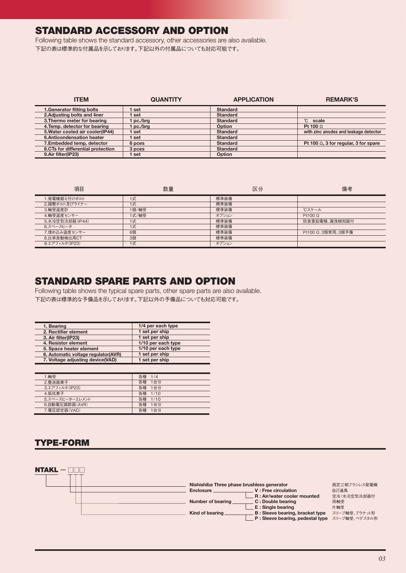# **STANDARD ACCESSORY AND OPTION**

Following table shows the standard accessory, other accessories are also available. 下記の表は標準的な付属品を示しております。下記以外の付属品についても対応可能です。

| <b>ITEM</b>                       | <b>QUANTITY</b> | <b>APPLICATION</b> | <b>REMARK'S</b>                              |
|-----------------------------------|-----------------|--------------------|----------------------------------------------|
| 1. Generator fitting bolts        | set             | <b>Standard</b>    |                                              |
| 2. Adjusting bolts and liner      | set             | <b>Standard</b>    |                                              |
| 3. Thermo meter for bearing       | l pc./brg       | <b>Standard</b>    | °C scale                                     |
| 4. Temp. detector for bearing     | l pc./brg       | Option             | Pt 100 $\Omega$                              |
| 5. Water cooled air cooler(IP44)  | l set           | <b>Standard</b>    | with zinc anodes and leakage detector        |
| 6.Anticondensation heater         | set             | <b>Standard</b>    |                                              |
| 7. Embedded temp, detector        | 6 pces          | <b>Standard</b>    | Pt 100 $\Omega$ , 3 for regular, 3 for spare |
| 8.CTs for differential protection | 3 pces          | <b>Standard</b>    |                                              |
| 9.Air filter(IP23)                | l set           | Option             |                                              |

| 項目              | 数量    | 区分    | 備考                |
|-----------------|-------|-------|-------------------|
| 1.発電機据え付けボルト    | 1式    | 標準装備  |                   |
| 2.調整ボルト及びライナー   | 1式    | 標準装備  |                   |
| 3.軸受温度計         | 1個/軸受 | 標準装備  | <b>Cスケール</b>      |
| 4.軸受温度センサー      | 1式/軸受 | オプション | Pt100 $\Omega$    |
| 5.水冷空気冷却器(IP44) | 1式    | 標準装備  | 防食亜鉛電極、漏洩検知器付     |
| 6.スペースヒータ       | 1式    | 標準装備  |                   |
| 7.埋め込み温度センサー    | 6個    | 標準装備  | Pt100 Ω、3個常用、3個予備 |
| 8.比率差動検出用CT     | 3個    | 標準装備  |                   |
| 9.エアフィルタ(IP23)  | 1式    | オプション |                   |

# **STANDARD SPARE PARTS AND OPTION**

Following table shows the typical spare parts, other spare parts are also available. 下記の表は標準的な予備品を示しております。下記以外の予備品についても対応可能です。

| 1. Bearing                          | 1/4 per each type  |
|-------------------------------------|--------------------|
| 2. Rectifier element                | 1 set per ship     |
| 3. Air filter(IP23)                 | 1 set per ship     |
| 4. Resistor element                 | 1/10 per each type |
| 5. Space heater element             | 1/10 per each type |
| 6. Automatic voltage regulator(AVR) | 1 set per ship     |
| 7. Voltage adjusting device(VAD)    | 1 set per ship     |
|                                     |                    |

| 1.軸受            | 各種 1/4  |
|-----------------|---------|
| 2.整流器素子         | 各種 1台分  |
| 3.エアフィルタ(IP23)  | 各種 1台分  |
| 4. 抵抗素子         | 各種 1/10 |
| 5.スペースヒーターエレメント | 各種 1/10 |
| 6.自動電圧調節器(AVR)  | 各種 1台分  |
| 7. 電圧設定器(VAD)   | 各種 1台分  |

# **TYPE-FORM**

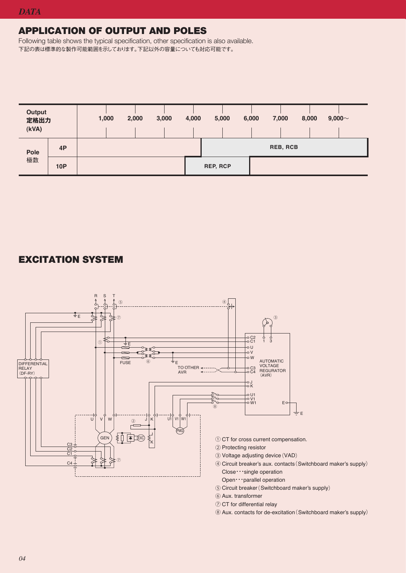# **APPLICATION OF OUTPUT AND POLES**

Following table shows the typical specification, other specification is also available. 下記の表は標準的な製作可能範囲を示しております。下記以外の容量についても対応可能です。



# **EXCITATION SYSTEM**



- ⑤ Circuit breaker (Switchboard maker's supply)
- ⑥ Aux. transformer
- ⑦ CT for differential relay
- ⑧ Aux. contacts for de-excitation (Switchboard maker's supply)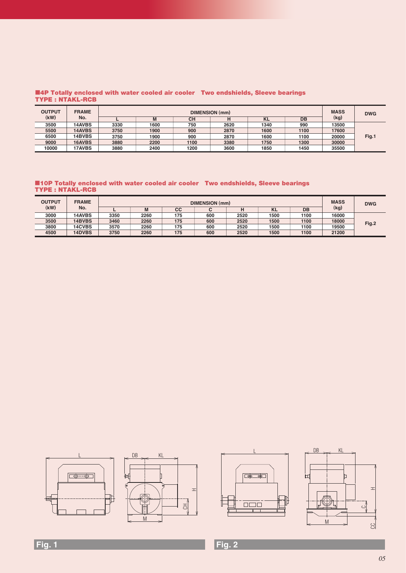### ■**4P Totally enclosed with water cooled air cooler Two endshields, Sleeve bearings TYPE : NTAKL-RCB**

| <b>OUTPUT</b> | <b>FRAME</b>  | DIMENSION (mm) |      |           |      |           |      |       |       |  |  |  | <b>MASS</b> | <b>DWG</b> |
|---------------|---------------|----------------|------|-----------|------|-----------|------|-------|-------|--|--|--|-------------|------------|
| (kW)          | No.           |                |      | <b>CH</b> |      | <b>KL</b> | DB   | (kg)  |       |  |  |  |             |            |
| 3500          | <b>14AVBS</b> | 3330           | 1600 | 750       | 2620 | 1340      | 990  | 13500 |       |  |  |  |             |            |
| 5500          | 14AVBS        | 3750           | 1900 | 900       | 2870 | 1600      | 1100 | 17600 |       |  |  |  |             |            |
| 6500          | 14BVBS        | 3750           | 1900 | 900       | 2870 | 1600      | 1100 | 20000 | Fig.1 |  |  |  |             |            |
| 9000          | 16AVBS        | 3880           | 2200 | 1100      | 3380 | 1750      | 1300 | 30000 |       |  |  |  |             |            |
| 10000         | <b>17AVBS</b> | 3880           | 2400 | 1200      | 3600 | 1850      | 1450 | 35500 |       |  |  |  |             |            |

### ■**10P Totally enclosed with water cooled air cooler Two endshields, Sleeve bearings TYPE : NTAKL-RCB**

| <b>OUTPUT</b> | <b>FRAME</b>  | DIMENSION (mm) |      |     |     |      |           |      | <b>MASS</b> | <b>DWG</b> |
|---------------|---------------|----------------|------|-----|-----|------|-----------|------|-------------|------------|
| (kW)          | No.           |                | M    | cc  |     | н    | <b>KL</b> | DB   | (kg)        |            |
| 3000          | 14AVBS        | 3350           | 2260 | 175 | 600 | 2520 | 1500      | 1100 | 16000       |            |
| 3500          | <b>14BVBS</b> | 3460           | 2260 | 175 | 600 | 2520 | 1500      | 1100 | 18000       | Fig.2      |
| 3800          | <b>14CVBS</b> | 3570           | 2260 | 175 | 600 | 2520 | 1500      | 1100 | 19500       |            |
| 4500          | <b>14DVBS</b> | 3750           | 2260 | 175 | 600 | 2520 | 1500      | 1100 | 21200       |            |



# **Fig. 1 Fig. 2**